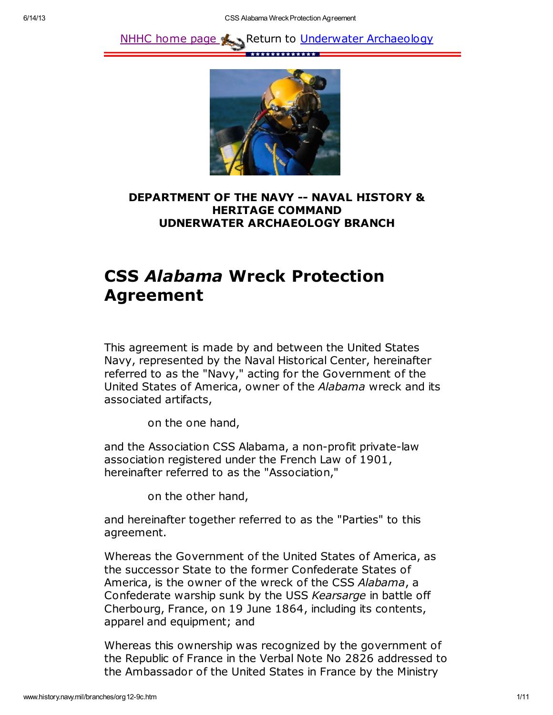



## DEPARTMENT OF THE NAVY -- NAVAL HISTORY & HERITAGE COMMAND UDNERWATER ARCHAEOLOGY BRANCH

## CSS Alabama Wreck Protection Agreement

This agreement is made by and between the United States Navy, represented by the Naval Historical Center, hereinafter referred to as the "Navy," acting for the Government of the United States of America, owner of the Alabama wreck and its associated artifacts,

on the one hand,

and the Association CSS Alabama, a non-profit private-law association registered under the French Law of 1901, hereinafter referred to as the "Association,"

on the other hand,

and hereinafter together referred to as the "Parties" to this agreement.

Whereas the Government of the United States of America, as the successor State to the former Confederate States of America, is the owner of the wreck of the CSS Alabama, a Confederate warship sunk by the USS Kearsarge in battle off Cherbourg, France, on 19 June 1864, including its contents, apparel and equipment; and

Whereas this ownership was recognized by the government of the Republic of France in the Verbal Note No 2826 addressed to the Ambassador of the United States in France by the Ministry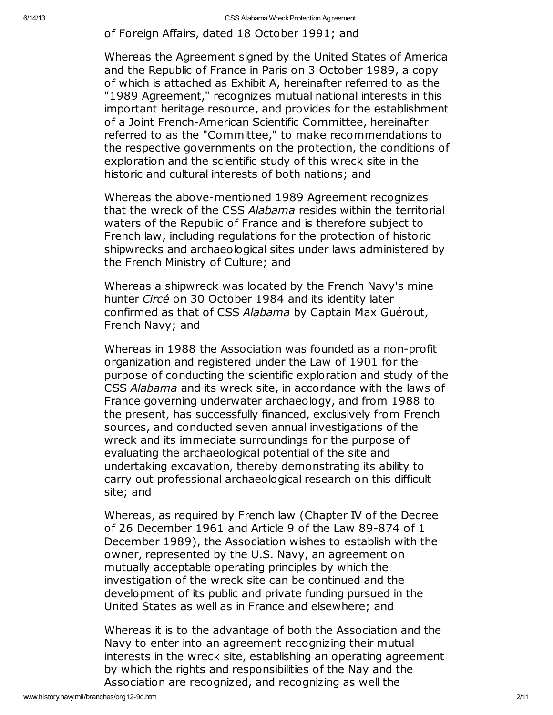of Foreign Affairs, dated 18 October 1991; and

Whereas the Agreement signed by the United States of America and the Republic of France in Paris on 3 October 1989, a copy of which is attached as Exhibit A, hereinafter referred to as the "1989 Agreement," recognizes mutual national interests in this important heritage resource, and provides for the establishment of a Joint French-American Scientific Committee, hereinafter referred to as the "Committee," to make recommendations to the respective governments on the protection, the conditions of exploration and the scientific study of this wreck site in the historic and cultural interests of both nations; and

Whereas the above-mentioned 1989 Agreement recognizes that the wreck of the CSS Alabama resides within the territorial waters of the Republic of France and is therefore subject to French law, including regulations for the protection of historic shipwrecks and archaeological sites under laws administered by the French Ministry of Culture; and

Whereas a shipwreck was located by the French Navy's mine hunter Circé on 30 October 1984 and its identity later confirmed as that of CSS Alabama by Captain Max Guérout, French Navy; and

Whereas in 1988 the Association was founded as a non-profit organization and registered under the Law of 1901 for the purpose of conducting the scientific exploration and study of the CSS Alabama and its wreck site, in accordance with the laws of France governing underwater archaeology, and from 1988 to the present, has successfully financed, exclusively from French sources, and conducted seven annual investigations of the wreck and its immediate surroundings for the purpose of evaluating the archaeological potential of the site and undertaking excavation, thereby demonstrating its ability to carry out professional archaeological research on this difficult site; and

Whereas, as required by French law (Chapter IV of the Decree of 26 December 1961 and Article 9 of the Law 89-874 of 1 December 1989), the Association wishes to establish with the owner, represented by the U.S. Navy, an agreement on mutually acceptable operating principles by which the investigation of the wreck site can be continued and the development of its public and private funding pursued in the United States as well as in France and elsewhere; and

Whereas it is to the advantage of both the Association and the Navy to enter into an agreement recognizing their mutual interests in the wreck site, establishing an operating agreement by which the rights and responsibilities of the Nay and the Association are recognized, and recognizing as well the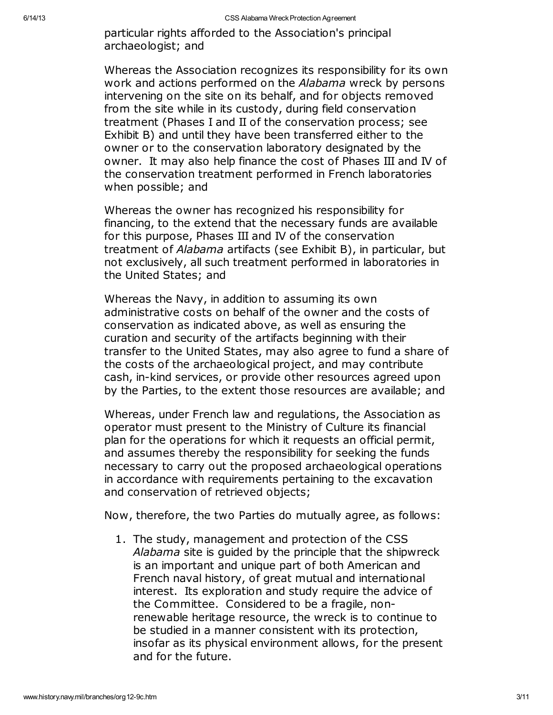particular rights afforded to the Association's principal archaeologist; and

Whereas the Association recognizes its responsibility for its own work and actions performed on the Alabama wreck by persons intervening on the site on its behalf, and for objects removed from the site while in its custody, during field conservation treatment (Phases I and II of the conservation process; see Exhibit B) and until they have been transferred either to the owner or to the conservation laboratory designated by the owner. It may also help finance the cost of Phases III and IV of the conservation treatment performed in French laboratories when possible; and

Whereas the owner has recognized his responsibility for financing, to the extend that the necessary funds are available for this purpose, Phases III and IV of the conservation treatment of Alabama artifacts (see Exhibit B), in particular, but not exclusively, all such treatment performed in laboratories in the United States; and

Whereas the Navy, in addition to assuming its own administrative costs on behalf of the owner and the costs of conservation as indicated above, as well as ensuring the curation and security of the artifacts beginning with their transfer to the United States, may also agree to fund a share of the costs of the archaeological project, and may contribute cash, in-kind services, or provide other resources agreed upon by the Parties, to the extent those resources are available; and

Whereas, under French law and regulations, the Association as operator must present to the Ministry of Culture its financial plan for the operations for which it requests an official permit, and assumes thereby the responsibility for seeking the funds necessary to carry out the proposed archaeological operations in accordance with requirements pertaining to the excavation and conservation of retrieved objects;

Now, therefore, the two Parties do mutually agree, as follows:

1. The study, management and protection of the CSS Alabama site is quided by the principle that the shipwreck is an important and unique part of both American and French naval history, of great mutual and international interest. Its exploration and study require the advice of the Committee. Considered to be a fragile, nonrenewable heritage resource, the wreck is to continue to be studied in a manner consistent with its protection, insofar as its physical environment allows, for the present and for the future.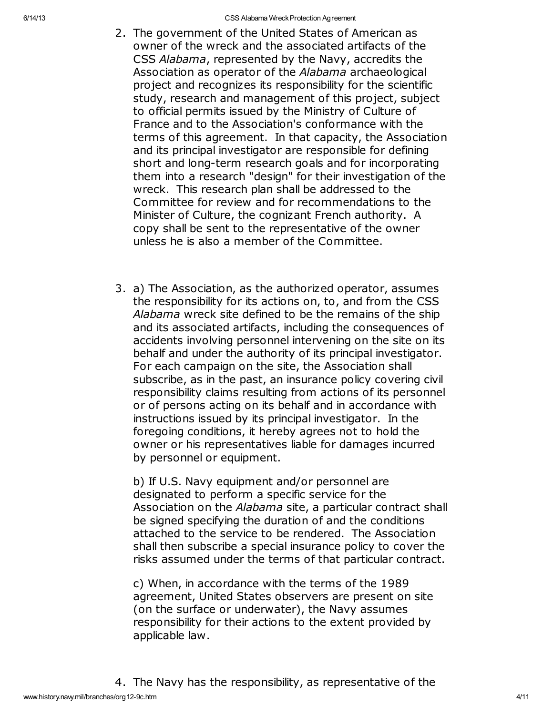- 2. The government of the United States of American as owner of the wreck and the associated artifacts of the CSS Alabama, represented by the Navy, accredits the Association as operator of the Alabama archaeological project and recognizes its responsibility for the scientific study, research and management of this project, subject to official permits issued by the Ministry of Culture of France and to the Association's conformance with the terms of this agreement. In that capacity, the Association and its principal investigator are responsible for defining short and long-term research goals and for incorporating them into a research "design" for their investigation of the wreck. This research plan shall be addressed to the Committee for review and for recommendations to the Minister of Culture, the cognizant French authority. A copy shall be sent to the representative of the owner unless he is also a member of the Committee.
- 3. a) The Association, as the authorized operator, assumes the responsibility for its actions on, to, and from the CSS Alabama wreck site defined to be the remains of the ship and its associated artifacts, including the consequences of accidents involving personnel intervening on the site on its behalf and under the authority of its principal investigator. For each campaign on the site, the Association shall subscribe, as in the past, an insurance policy covering civil responsibility claims resulting from actions of its personnel or of persons acting on its behalf and in accordance with instructions issued by its principal investigator. In the foregoing conditions, it hereby agrees not to hold the owner or his representatives liable for damages incurred by personnel or equipment.

b) If U.S. Navy equipment and/or personnel are designated to perform a specific service for the Association on the Alabama site, a particular contract shall be signed specifying the duration of and the conditions attached to the service to be rendered. The Association shall then subscribe a special insurance policy to cover the risks assumed under the terms of that particular contract.

c) When, in accordance with the terms of the 1989 agreement, United States observers are present on site (on the surface or underwater), the Navy assumes responsibility for their actions to the extent provided by applicable law.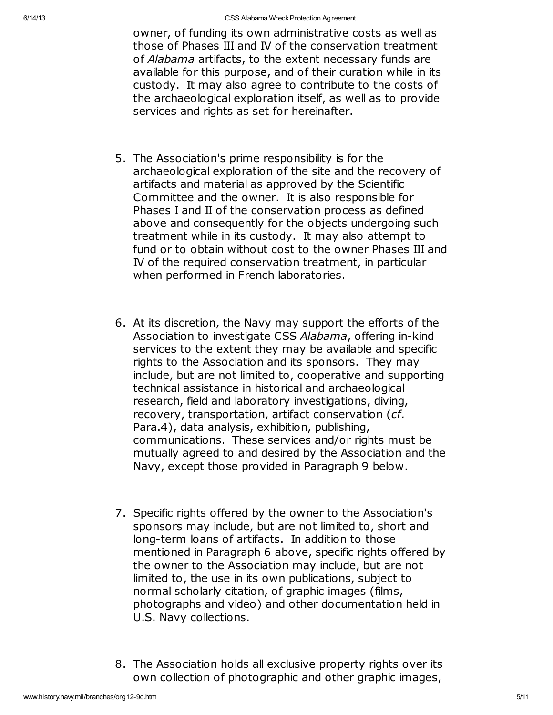owner, of funding its own administrative costs as well as those of Phases III and IV of the conservation treatment of Alabama artifacts, to the extent necessary funds are available for this purpose, and of their curation while in its custody. It may also agree to contribute to the costs of the archaeological exploration itself, as well as to provide services and rights as set for hereinafter.

- 5. The Association's prime responsibility is for the archaeological exploration of the site and the recovery of artifacts and material as approved by the Scientific Committee and the owner. It is also responsible for Phases I and II of the conservation process as defined above and consequently for the objects undergoing such treatment while in its custody. It may also attempt to fund or to obtain without cost to the owner Phases III and IV of the required conservation treatment, in particular when performed in French laboratories.
- 6. At its discretion, the Navy may support the efforts of the Association to investigate CSS Alabama, offering in-kind services to the extent they may be available and specific rights to the Association and its sponsors. They may include, but are not limited to, cooperative and supporting technical assistance in historical and archaeological research, field and laboratory investigations, diving, recovery, transportation, artifact conservation (cf. Para.4), data analysis, exhibition, publishing, communications. These services and/or rights must be mutually agreed to and desired by the Association and the Navy, except those provided in Paragraph 9 below.
- 7. Specific rights offered by the owner to the Association's sponsors may include, but are not limited to, short and long-term loans of artifacts. In addition to those mentioned in Paragraph 6 above, specific rights offered by the owner to the Association may include, but are not limited to, the use in its own publications, subject to normal scholarly citation, of graphic images (films, photographs and video) and other documentation held in U.S. Navy collections.
- 8. The Association holds all exclusive property rights over its own collection of photographic and other graphic images,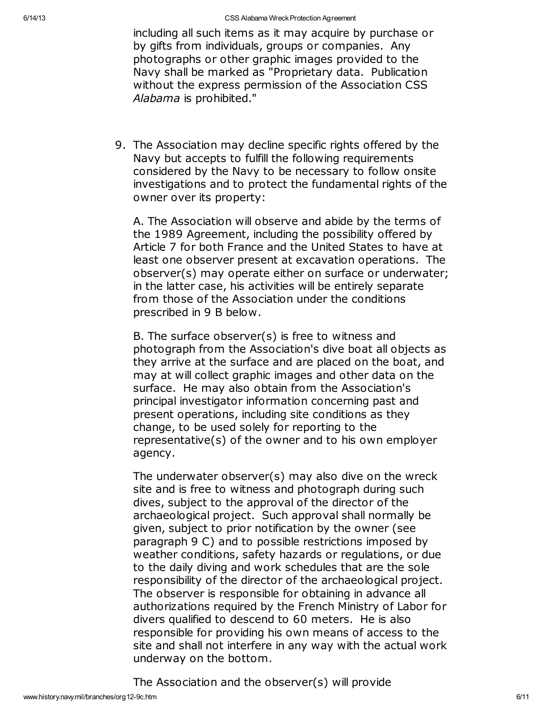including all such items as it may acquire by purchase or by gifts from individuals, groups or companies. Any photographs or other graphic images provided to the Navy shall be marked as "Proprietary data. Publication without the express permission of the Association CSS Alabama is prohibited."

9. The Association may decline specific rights offered by the Navy but accepts to fulfill the following requirements considered by the Navy to be necessary to follow onsite investigations and to protect the fundamental rights of the owner over its property:

A. The Association will observe and abide by the terms of the 1989 Agreement, including the possibility offered by Article 7 for both France and the United States to have at least one observer present at excavation operations. The observer(s) may operate either on surface or underwater; in the latter case, his activities will be entirely separate from those of the Association under the conditions prescribed in 9 B below.

B. The surface observer(s) is free to witness and photograph from the Association's dive boat all objects as they arrive at the surface and are placed on the boat, and may at will collect graphic images and other data on the surface. He may also obtain from the Association's principal investigator information concerning past and present operations, including site conditions as they change, to be used solely for reporting to the representative(s) of the owner and to his own employer agency.

The underwater observer(s) may also dive on the wreck site and is free to witness and photograph during such dives, subject to the approval of the director of the archaeological project. Such approval shall normally be given, subject to prior notification by the owner (see paragraph 9 C) and to possible restrictions imposed by weather conditions, safety hazards or regulations, or due to the daily diving and work schedules that are the sole responsibility of the director of the archaeological project. The observer is responsible for obtaining in advance all authorizations required by the French Ministry of Labor for divers qualified to descend to 60 meters. He is also responsible for providing his own means of access to the site and shall not interfere in any way with the actual work underway on the bottom.

The Association and the observer(s) will provide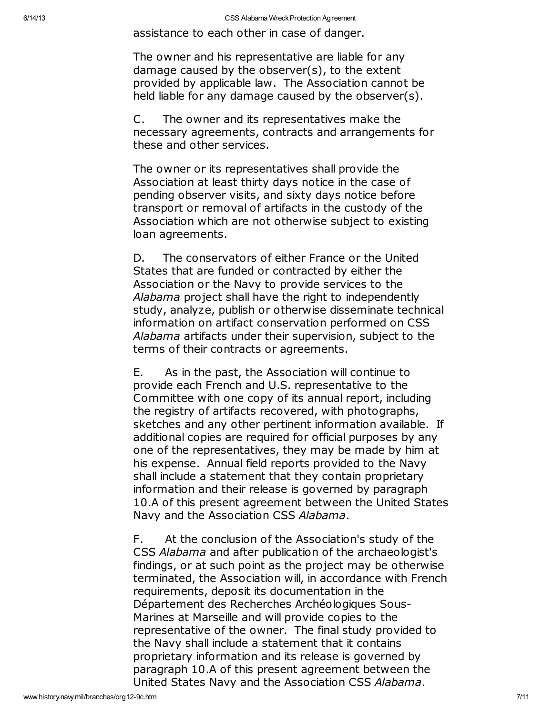assistance to each other in case of danger.

The owner and his representative are liable for any damage caused by the observer(s), to the extent provided by applicable law. The Association cannot be held liable for any damage caused by the observer(s).

C. The owner and its representatives make the necessary agreements, contracts and arrangements for these and other services.

The owner or its representatives shall provide the Association at least thirty days notice in the case of pending observer visits, and sixty days notice before transport or removal of artifacts in the custody of the Association which are not otherwise subject to existing loan agreements.

D. The conservators of either France or the United States that are funded or contracted by either the Association or the Navy to provide services to the Alabama project shall have the right to independently study, analyze, publish or otherwise disseminate technical information on artifact conservation performed on CSS Alabama artifacts under their supervision, subject to the terms of their contracts or agreements.

E. As in the past, the Association will continue to provide each French and U.S. representative to the Committee with one copy of its annual report, including the registry of artifacts recovered, with photographs, sketches and any other pertinent information available. If additional copies are required for official purposes by any one of the representatives, they may be made by him at his expense. Annual field reports provided to the Navy shall include a statement that they contain proprietary information and their release is governed by paragraph 10.A of this present agreement between the United States Navy and the Association CSS Alabama.

F. At the conclusion of the Association's study of the CSS Alabama and after publication of the archaeologist's findings, or at such point as the project may be otherwise terminated, the Association will, in accordance with French requirements, deposit its documentation in the Département des Recherches Archéologiques Sous-Marines at Marseille and will provide copies to the representative of the owner. The final study provided to the Navy shall include a statement that it contains proprietary information and its release is governed by paragraph 10.A of this present agreement between the United States Navy and the Association CSS Alabama.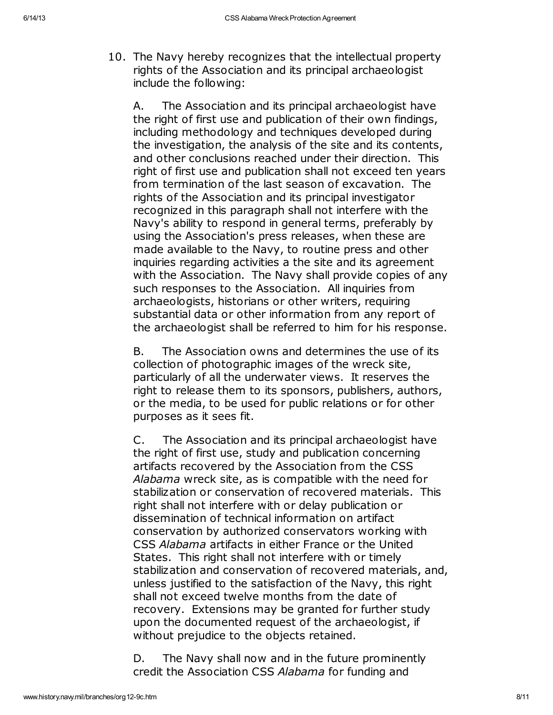10. The Navy hereby recognizes that the intellectual property rights of the Association and its principal archaeologist include the following:

A. The Association and its principal archaeologist have the right of first use and publication of their own findings, including methodology and techniques developed during the investigation, the analysis of the site and its contents, and other conclusions reached under their direction. This right of first use and publication shall not exceed ten years from termination of the last season of excavation. The rights of the Association and its principal investigator recognized in this paragraph shall not interfere with the Navy's ability to respond in general terms, preferably by using the Association's press releases, when these are made available to the Navy, to routine press and other inquiries regarding activities a the site and its agreement with the Association. The Navy shall provide copies of any such responses to the Association. All inquiries from archaeologists, historians or other writers, requiring substantial data or other information from any report of the archaeologist shall be referred to him for his response.

B. The Association owns and determines the use of its collection of photographic images of the wreck site, particularly of all the underwater views. It reserves the right to release them to its sponsors, publishers, authors, or the media, to be used for public relations or for other purposes as it sees fit.

C. The Association and its principal archaeologist have the right of first use, study and publication concerning artifacts recovered by the Association from the CSS Alabama wreck site, as is compatible with the need for stabilization or conservation of recovered materials. This right shall not interfere with or delay publication or dissemination of technical information on artifact conservation by authorized conservators working with CSS Alabama artifacts in either France or the United States. This right shall not interfere with or timely stabilization and conservation of recovered materials, and, unless justified to the satisfaction of the Navy, this right shall not exceed twelve months from the date of recovery. Extensions may be granted for further study upon the documented request of the archaeologist, if without prejudice to the objects retained.

D. The Navy shall now and in the future prominently credit the Association CSS Alabama for funding and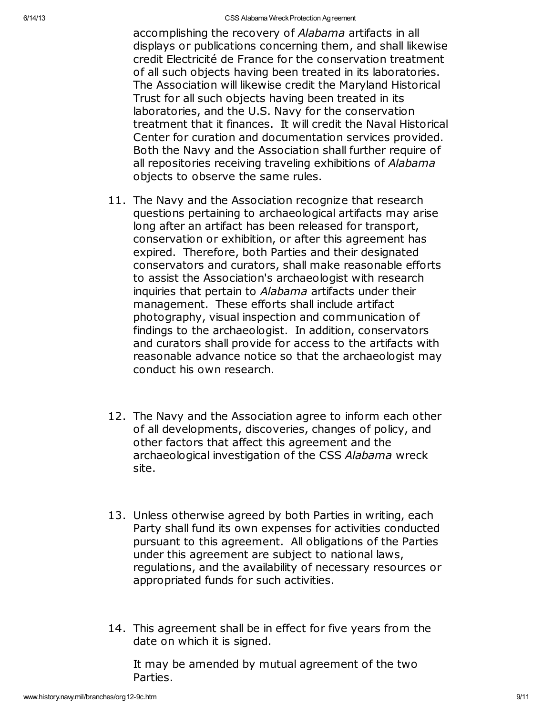6/14/13 **CSS Alabama Wreck Protection Agreement** 

accomplishing the recovery of Alabama artifacts in all displays or publications concerning them, and shall likewise credit Electricité de France for the conservation treatment of all such objects having been treated in its laboratories. The Association will likewise credit the Maryland Historical Trust for all such objects having been treated in its laboratories, and the U.S. Navy for the conservation treatment that it finances. It will credit the Naval Historical Center for curation and documentation services provided. Both the Navy and the Association shall further require of all repositories receiving traveling exhibitions of Alabama objects to observe the same rules.

- 11. The Navy and the Association recognize that research questions pertaining to archaeological artifacts may arise long after an artifact has been released for transport, conservation or exhibition, or after this agreement has expired. Therefore, both Parties and their designated conservators and curators, shall make reasonable efforts to assist the Association's archaeologist with research inquiries that pertain to Alabama artifacts under their management. These efforts shall include artifact photography, visual inspection and communication of findings to the archaeologist. In addition, conservators and curators shall provide for access to the artifacts with reasonable advance notice so that the archaeologist may conduct his own research.
- 12. The Navy and the Association agree to inform each other of all developments, discoveries, changes of policy, and other factors that affect this agreement and the archaeological investigation of the CSS Alabama wreck site.
- 13. Unless otherwise agreed by both Parties in writing, each Party shall fund its own expenses for activities conducted pursuant to this agreement. All obligations of the Parties under this agreement are subject to national laws, regulations, and the availability of necessary resources or appropriated funds for such activities.
- 14. This agreement shall be in effect for five years from the date on which it is signed.

It may be amended by mutual agreement of the two Parties.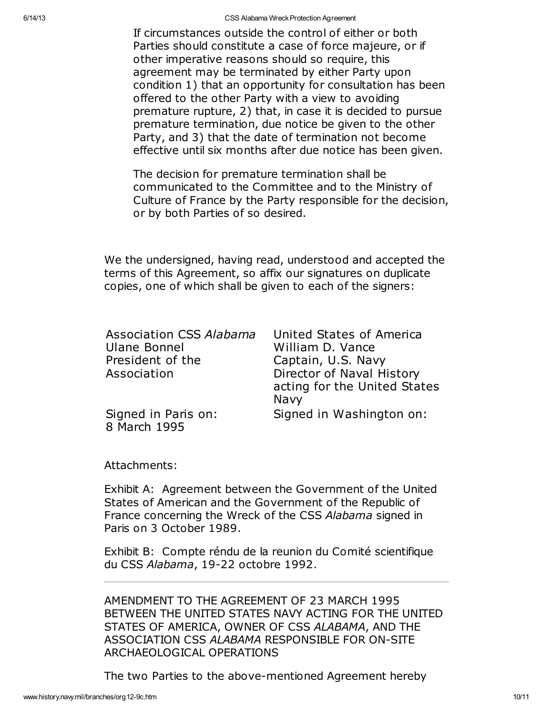6/14/13 **CSS Alabama Wreck Protection Agreement** 

If circumstances outside the control of either or both Parties should constitute a case of force majeure, or if other imperative reasons should so require, this agreement may be terminated by either Party upon condition 1) that an opportunity for consultation has been offered to the other Party with a view to avoiding premature rupture, 2) that, in case it is decided to pursue premature termination, due notice be given to the other Party, and 3) that the date of termination not become effective until six months after due notice has been given.

The decision for premature termination shall be communicated to the Committee and to the Ministry of Culture of France by the Party responsible for the decision, or by both Parties of so desired.

We the undersigned, having read, understood and accepted the terms of this Agreement, so affix our signatures on duplicate copies, one of which shall be given to each of the signers:

| Association CSS Alabama<br><b>Ulane Bonnel</b><br>President of the | United States of America<br>William D. Vance<br>Captain, U.S. Navy |
|--------------------------------------------------------------------|--------------------------------------------------------------------|
| Association                                                        | Director of Naval History<br>acting for the United States<br>Navy  |
| Signed in Paris on:<br>8 March 1995                                | Signed in Washington on:                                           |

Attachments:

Exhibit A: Agreement between the Government of the United States of American and the Government of the Republic of France concerning the Wreck of the CSS Alabama signed in Paris on 3 October 1989.

Exhibit B: Compte réndu de la reunion du Comité scientifique du CSS Alabama, 19-22 octobre 1992.

AMENDMENT TO THE AGREEMENT OF 23 MARCH 1995 BETWEEN THE UNITED STATES NAVY ACTING FOR THE UNITED STATES OF AMERICA, OWNER OF CSS ALABAMA, AND THE ASSOCIATION CSS ALABAMA RESPONSIBLE FOR ON-SITE ARCHAEOLOGICAL OPERATIONS

The two Parties to the above-mentioned Agreement hereby